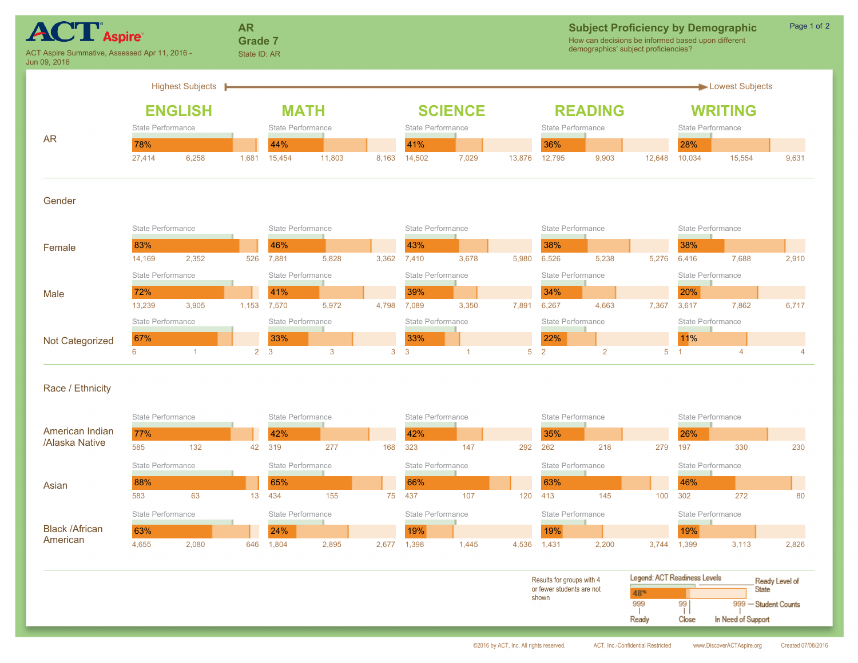